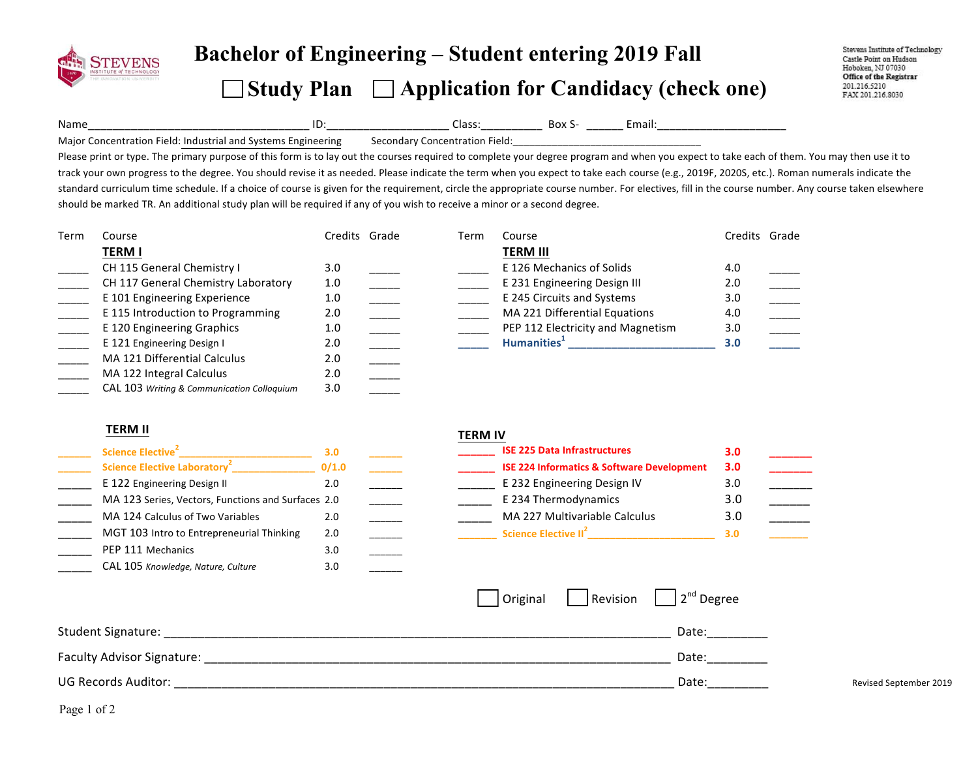

# **Bachelor of Engineering – Student entering <sup>201</sup><sup>9</sup> Fall**   $\Box$  Study Plan  $\Box$  Application for Candidacy (check one)

Stevens Institute of Technology Castle Point on Hudson Hoboken, NJ 07030 Office of the Registrar 201.216.5210 FAX 201.216.8030

Name\_\_\_\_\_\_\_\_\_\_\_\_\_\_\_\_\_\_\_\_\_\_\_\_\_\_\_\_\_\_\_\_\_\_\_\_!ID:\_\_\_\_\_\_\_\_\_\_\_\_\_\_\_\_\_\_\_\_!Class:\_\_\_\_\_\_\_\_\_\_!!Box!S- \_\_\_\_\_\_!Email:\_\_\_\_\_\_\_\_\_\_\_\_\_\_\_\_\_\_\_\_\_!

Major Concentration Field: Industrial and Systems Engineering Secondary Concentration Field:

Please print or type. The primary purpose of this form is to lay out the courses required to complete your degree program and when you expect to take each of them. You may then use it to track your own progress to the degree. You should revise it as needed. Please indicate the term when you expect to take each course (e.g., 2019F, 2020S, etc.). Roman numerals indicate the standard curriculum time schedule. If a choice of course is given for the requirement, circle the appropriate course number. For electives, fill in the course number. Any course taken elsewhere should be marked TR. An additional study plan will be required if any of you wish to receive a minor or a second degree.

| Term | Course                                     | Credits Grade | Term | Course                            | Credits Grade |  |
|------|--------------------------------------------|---------------|------|-----------------------------------|---------------|--|
|      | <b>TERM I</b>                              |               |      | <b>TERM III</b>                   |               |  |
|      | CH 115 General Chemistry I                 | 3.0           |      | E 126 Mechanics of Solids         | 4.0           |  |
|      | CH 117 General Chemistry Laboratory        | 1.0           |      | E 231 Engineering Design III      | 2.0           |  |
|      | E 101 Engineering Experience               | 1.0           |      | E 245 Circuits and Systems        | 3.0           |  |
|      | E 115 Introduction to Programming          | 2.0           |      | MA 221 Differential Equations     | 4.0           |  |
|      | E 120 Engineering Graphics                 | 1.0           |      | PEP 112 Electricity and Magnetism | 3.0           |  |
|      | E 121 Engineering Design I                 | 2.0           |      | Humanities <sup>+</sup>           | 3.0           |  |
|      | MA 121 Differential Calculus               | 2.0           |      |                                   |               |  |
|      | MA 122 Integral Calculus                   | 2.0           |      |                                   |               |  |
|      | CAL 103 Writing & Communication Colloquium | 3.0           |      |                                   |               |  |

### **TERM%II%**

| Science Elective <sup>2</sup>                      | 3.0   |  |
|----------------------------------------------------|-------|--|
| <b>Science Elective Laboratory<sup>2</sup></b>     | 0/1.0 |  |
| E 122 Engineering Design II                        | 2.0   |  |
| MA 123 Series, Vectors, Functions and Surfaces 2.0 |       |  |
| MA 124 Calculus of Two Variables                   | 2.0   |  |
| MGT 103 Intro to Entrepreneurial Thinking          | 2.0   |  |
| PEP 111 Mechanics                                  | 3.0   |  |
| CAL 105 Knowledge, Nature, Culture                 | 3.0   |  |

#### **TERM%IV**

| Science Elective <sup>2</sup>                      |       |  | <b>ISE 225 Data Infrastructures</b>                   |     |  |
|----------------------------------------------------|-------|--|-------------------------------------------------------|-----|--|
| Science Elective Laboratory <sup>2</sup>           | 0/1.0 |  | <b>ISE 224 Informatics &amp; Software Development</b> | 3.0 |  |
| E 122 Engineering Design II                        |       |  | E 232 Engineering Design IV                           |     |  |
| MA 123 Series, Vectors, Functions and Surfaces 2.0 |       |  | E 234 Thermodynamics                                  |     |  |
| MA 124 Calculus of Two Variables                   |       |  | MA 227 Multivariable Calculus                         | 3.0 |  |
| MGT 103 Intro to Entrepreneurial Thinking          | 2.0   |  | Science Elective II <sup>2</sup>                      |     |  |

|                            | Original | Revision $\vert$ $\vert$ 2 <sup>nd</sup> Degree |                        |
|----------------------------|----------|-------------------------------------------------|------------------------|
| Student Signature:         |          | Date:                                           |                        |
| Faculty Advisor Signature: |          | Date:                                           |                        |
| UG Records Auditor:        |          | Date:                                           | Revised September 2019 |

Page 1 of 2